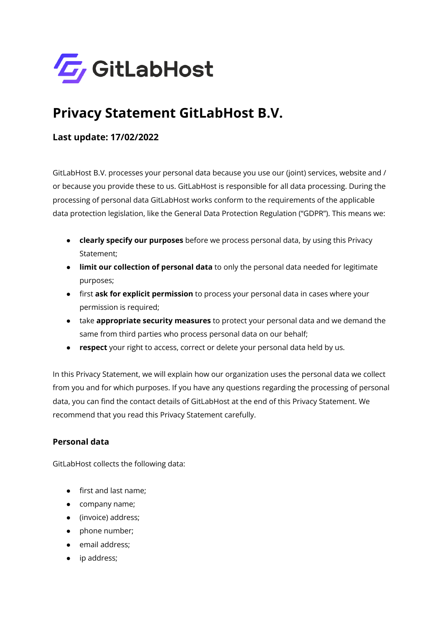

# **Privacy Statement GitLabHost B.V.**

# **Last update: 17/02/2022**

GitLabHost B.V. processes your personal data because you use our (joint) services, website and / or because you provide these to us. GitLabHost is responsible for all data processing. During the processing of personal data GitLabHost works conform to the requirements of the applicable data protection legislation, like the General Data Protection Regulation ("GDPR"). This means we:

- **clearly specify our purposes** before we process personal data, by using this Privacy Statement;
- **limit our collection of personal data** to only the personal data needed for legitimate purposes;
- first **ask for explicit permission** to process your personal data in cases where your permission is required;
- take **appropriate security measures** to protect your personal data and we demand the same from third parties who process personal data on our behalf;
- **respect** your right to access, correct or delete your personal data held by us.

In this Privacy Statement, we will explain how our organization uses the personal data we collect from you and for which purposes. If you have any questions regarding the processing of personal data, you can find the contact details of GitLabHost at the end of this Privacy Statement. We recommend that you read this Privacy Statement carefully.

# **Personal data**

GitLabHost collects the following data:

- first and last name;
- company name;
- (invoice) address;
- phone number;
- email address;
- ip address;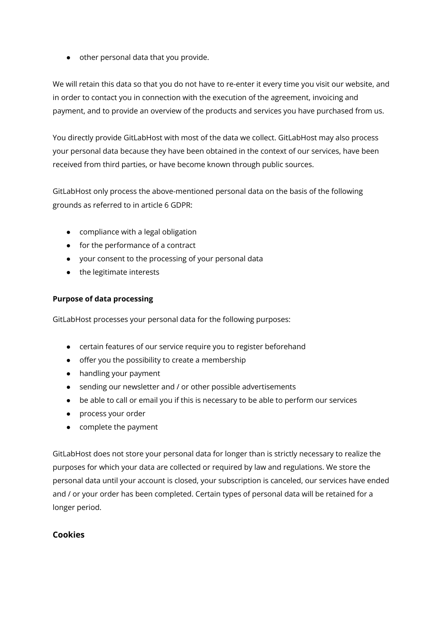● other personal data that you provide.

We will retain this data so that you do not have to re-enter it every time you visit our website, and in order to contact you in connection with the execution of the agreement, invoicing and payment, and to provide an overview of the products and services you have purchased from us.

You directly provide GitLabHost with most of the data we collect. GitLabHost may also process your personal data because they have been obtained in the context of our services, have been received from third parties, or have become known through public sources.

GitLabHost only process the above-mentioned personal data on the basis of the following grounds as referred to in article 6 GDPR:

- compliance with a legal obligation
- for the performance of a contract
- your consent to the processing of your personal data
- the legitimate interests

#### **Purpose of data processing**

GitLabHost processes your personal data for the following purposes:

- certain features of our service require you to register beforehand
- offer you the possibility to create a membership
- handling your payment
- sending our newsletter and / or other possible advertisements
- be able to call or email you if this is necessary to be able to perform our services
- process your order
- complete the payment

GitLabHost does not store your personal data for longer than is strictly necessary to realize the purposes for which your data are collected or required by law and regulations. We store the personal data until your account is closed, your subscription is canceled, our services have ended and / or your order has been completed. Certain types of personal data will be retained for a longer period.

# **Cookies**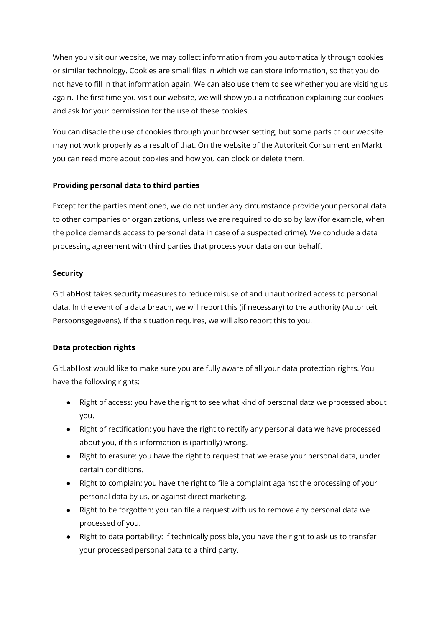When you visit our website, we may collect information from you automatically through cookies or similar technology. Cookies are small files in which we can store information, so that you do not have to fill in that information again. We can also use them to see whether you are visiting us again. The first time you visit our website, we will show you a notification explaining our cookies and ask for your permission for the use of these cookies.

You can disable the use of cookies through your browser setting, but some parts of our website may not work properly as a result of that. On the website of the Autoriteit Consument en Markt you can read more about cookies and how you can block or delete them.

#### **Providing personal data to third parties**

Except for the parties mentioned, we do not under any circumstance provide your personal data to other companies or organizations, unless we are required to do so by law (for example, when the police demands access to personal data in case of a suspected crime). We conclude a data processing agreement with third parties that process your data on our behalf.

#### **Security**

GitLabHost takes security measures to reduce misuse of and unauthorized access to personal data. In the event of a data breach, we will report this (if necessary) to the authority (Autoriteit Persoonsgegevens). If the situation requires, we will also report this to you.

# **Data protection rights**

GitLabHost would like to make sure you are fully aware of all your data protection rights. You have the following rights:

- Right of access: you have the right to see what kind of personal data we processed about you.
- Right of rectification: you have the right to rectify any personal data we have processed about you, if this information is (partially) wrong.
- Right to erasure: you have the right to request that we erase your personal data, under certain conditions.
- Right to complain: you have the right to file a complaint against the processing of your personal data by us, or against direct marketing.
- Right to be forgotten: you can file a request with us to remove any personal data we processed of you.
- Right to data portability: if technically possible, you have the right to ask us to transfer your processed personal data to a third party.